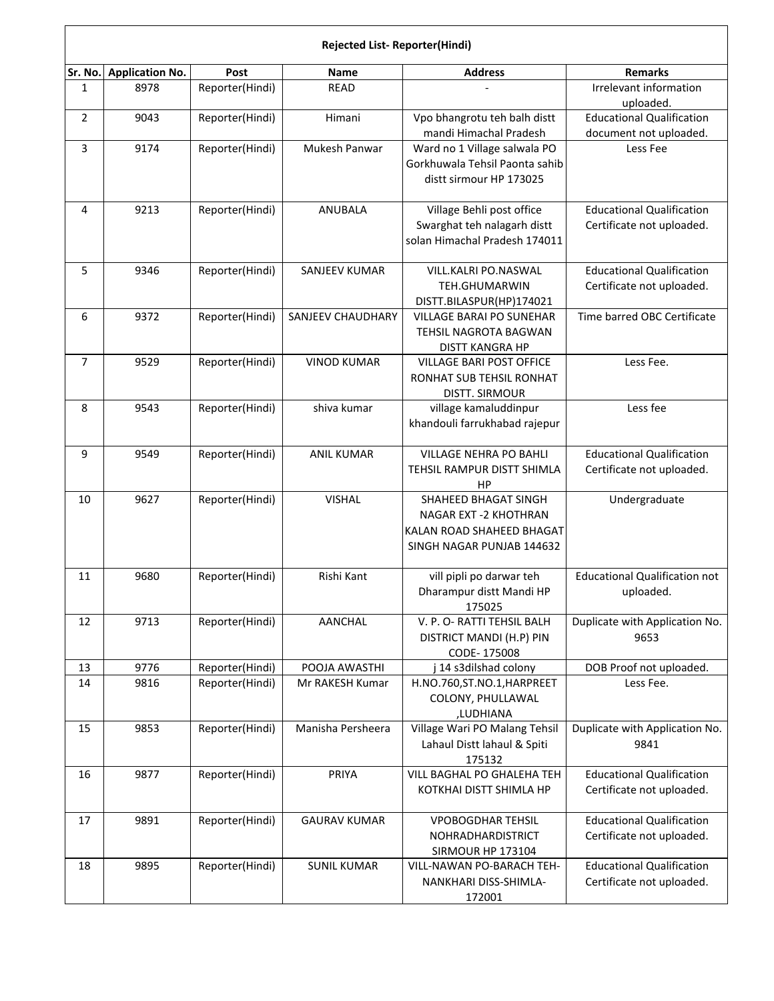|                | Rejected List-Reporter(Hindi) |                 |                          |                                                                                                         |                                                               |  |  |  |
|----------------|-------------------------------|-----------------|--------------------------|---------------------------------------------------------------------------------------------------------|---------------------------------------------------------------|--|--|--|
| Sr. No.        | <b>Application No.</b>        | Post            | Name                     | <b>Address</b>                                                                                          | <b>Remarks</b>                                                |  |  |  |
| $\mathbf{1}$   | 8978                          | Reporter(Hindi) | <b>READ</b>              |                                                                                                         | Irrelevant information<br>uploaded.                           |  |  |  |
| $\overline{2}$ | 9043                          | Reporter(Hindi) | Himani                   | Vpo bhangrotu teh balh distt<br>mandi Himachal Pradesh                                                  | <b>Educational Qualification</b><br>document not uploaded.    |  |  |  |
| 3              | 9174                          | Reporter(Hindi) | Mukesh Panwar            | Ward no 1 Village salwala PO<br>Gorkhuwala Tehsil Paonta sahib<br>distt sirmour HP 173025               | Less Fee                                                      |  |  |  |
| 4              | 9213                          | Reporter(Hindi) | <b>ANUBALA</b>           | Village Behli post office<br>Swarghat teh nalagarh distt<br>solan Himachal Pradesh 174011               | <b>Educational Qualification</b><br>Certificate not uploaded. |  |  |  |
| 5              | 9346                          | Reporter(Hindi) | SANJEEV KUMAR            | VILL.KALRI PO.NASWAL<br>TEH.GHUMARWIN<br>DISTT.BILASPUR(HP)174021                                       | <b>Educational Qualification</b><br>Certificate not uploaded. |  |  |  |
| 6              | 9372                          | Reporter(Hindi) | <b>SANJEEV CHAUDHARY</b> | <b>VILLAGE BARAI PO SUNEHAR</b><br>TEHSIL NAGROTA BAGWAN<br><b>DISTT KANGRA HP</b>                      | Time barred OBC Certificate                                   |  |  |  |
| $\overline{7}$ | 9529                          | Reporter(Hindi) | <b>VINOD KUMAR</b>       | VILLAGE BARI POST OFFICE<br>RONHAT SUB TEHSIL RONHAT<br><b>DISTT. SIRMOUR</b>                           | Less Fee.                                                     |  |  |  |
| 8              | 9543                          | Reporter(Hindi) | shiva kumar              | village kamaluddinpur<br>khandouli farrukhabad rajepur                                                  | Less fee                                                      |  |  |  |
| 9              | 9549                          | Reporter(Hindi) | <b>ANIL KUMAR</b>        | VILLAGE NEHRA PO BAHLI<br>TEHSIL RAMPUR DISTT SHIMLA<br>HP                                              | <b>Educational Qualification</b><br>Certificate not uploaded. |  |  |  |
| 10             | 9627                          | Reporter(Hindi) | <b>VISHAL</b>            | SHAHEED BHAGAT SINGH<br>NAGAR EXT -2 KHOTHRAN<br>KALAN ROAD SHAHEED BHAGAT<br>SINGH NAGAR PUNJAB 144632 | Undergraduate                                                 |  |  |  |
| 11             | 9680                          | Reporter(Hindi) | Rishi Kant               | vill pipli po darwar teh<br>Dharampur distt Mandi HP<br>175025                                          | <b>Educational Qualification not</b><br>uploaded.             |  |  |  |
| 12             | 9713                          | Reporter(Hindi) | AANCHAL                  | V. P. O- RATTI TEHSIL BALH<br>DISTRICT MANDI (H.P) PIN<br>CODE-175008                                   | Duplicate with Application No.<br>9653                        |  |  |  |
| 13             | 9776                          | Reporter(Hindi) | POOJA AWASTHI            | 14 s3dilshad colony                                                                                     | DOB Proof not uploaded.                                       |  |  |  |
| 14             | 9816                          | Reporter(Hindi) | Mr RAKESH Kumar          | H.NO.760,ST.NO.1,HARPREET<br>COLONY, PHULLAWAL<br>,LUDHIANA                                             | Less Fee.                                                     |  |  |  |
| 15             | 9853                          | Reporter(Hindi) | Manisha Persheera        | Village Wari PO Malang Tehsil<br>Lahaul Distt lahaul & Spiti<br>175132                                  | Duplicate with Application No.<br>9841                        |  |  |  |
| 16             | 9877                          | Reporter(Hindi) | PRIYA                    | VILL BAGHAL PO GHALEHA TEH<br>KOTKHAI DISTT SHIMLA HP                                                   | <b>Educational Qualification</b><br>Certificate not uploaded. |  |  |  |
| 17             | 9891                          | Reporter(Hindi) | <b>GAURAV KUMAR</b>      | <b>VPOBOGDHAR TEHSIL</b><br>NOHRADHARDISTRICT<br>SIRMOUR HP 173104                                      | <b>Educational Qualification</b><br>Certificate not uploaded. |  |  |  |
| 18             | 9895                          | Reporter(Hindi) | <b>SUNIL KUMAR</b>       | VILL-NAWAN PO-BARACH TEH-<br>NANKHARI DISS-SHIMLA-<br>172001                                            | <b>Educational Qualification</b><br>Certificate not uploaded. |  |  |  |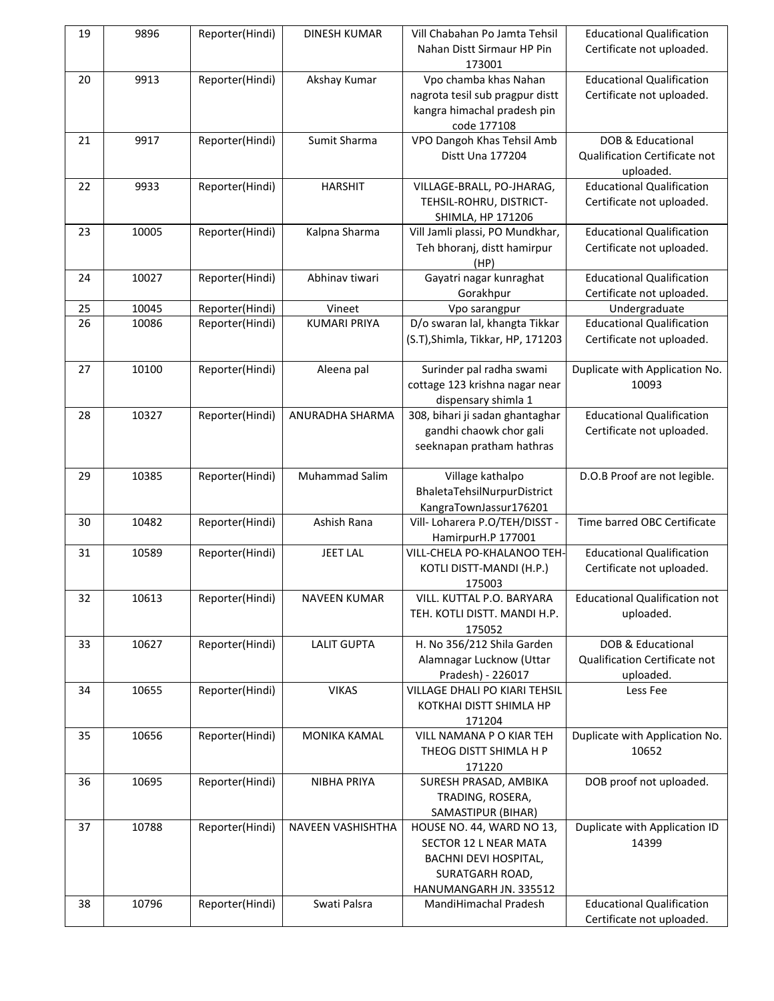| 19 | 9896  | Reporter(Hindi) | <b>DINESH KUMAR</b> | Vill Chabahan Po Jamta Tehsil<br>Nahan Distt Sirmaur HP Pin<br>173001                                                    | <b>Educational Qualification</b><br>Certificate not uploaded.   |
|----|-------|-----------------|---------------------|--------------------------------------------------------------------------------------------------------------------------|-----------------------------------------------------------------|
| 20 | 9913  | Reporter(Hindi) | Akshay Kumar        | Vpo chamba khas Nahan<br>nagrota tesil sub pragpur distt<br>kangra himachal pradesh pin<br>code 177108                   | <b>Educational Qualification</b><br>Certificate not uploaded.   |
| 21 | 9917  | Reporter(Hindi) | Sumit Sharma        | VPO Dangoh Khas Tehsil Amb<br>Distt Una 177204                                                                           | DOB & Educational<br>Qualification Certificate not<br>uploaded. |
| 22 | 9933  | Reporter(Hindi) | <b>HARSHIT</b>      | VILLAGE-BRALL, PO-JHARAG,<br>TEHSIL-ROHRU, DISTRICT-<br>SHIMLA, HP 171206                                                | <b>Educational Qualification</b><br>Certificate not uploaded.   |
| 23 | 10005 | Reporter(Hindi) | Kalpna Sharma       | Vill Jamli plassi, PO Mundkhar,<br>Teh bhoranj, distt hamirpur<br>(HP)                                                   | <b>Educational Qualification</b><br>Certificate not uploaded.   |
| 24 | 10027 | Reporter(Hindi) | Abhinav tiwari      | Gayatri nagar kunraghat<br>Gorakhpur                                                                                     | <b>Educational Qualification</b><br>Certificate not uploaded.   |
| 25 | 10045 | Reporter(Hindi) | Vineet              | Vpo sarangpur                                                                                                            | Undergraduate                                                   |
| 26 | 10086 | Reporter(Hindi) | <b>KUMARI PRIYA</b> | D/o swaran lal, khangta Tikkar<br>(S.T), Shimla, Tikkar, HP, 171203                                                      | <b>Educational Qualification</b><br>Certificate not uploaded.   |
| 27 | 10100 | Reporter(Hindi) | Aleena pal          | Surinder pal radha swami<br>cottage 123 krishna nagar near<br>dispensary shimla 1                                        | Duplicate with Application No.<br>10093                         |
| 28 | 10327 | Reporter(Hindi) | ANURADHA SHARMA     | 308, bihari ji sadan ghantaghar<br>gandhi chaowk chor gali<br>seeknapan pratham hathras                                  | <b>Educational Qualification</b><br>Certificate not uploaded.   |
| 29 | 10385 | Reporter(Hindi) | Muhammad Salim      | Village kathalpo<br>BhaletaTehsilNurpurDistrict<br>KangraTownJassur176201                                                | D.O.B Proof are not legible.                                    |
| 30 | 10482 | Reporter(Hindi) | Ashish Rana         | Vill- Loharera P.O/TEH/DISST -<br>HamirpurH.P 177001                                                                     | Time barred OBC Certificate                                     |
| 31 | 10589 | Reporter(Hindi) | <b>JEET LAL</b>     | VILL-CHELA PO-KHALANOO TEH-<br>KOTLI DISTT-MANDI (H.P.)<br>175003                                                        | <b>Educational Qualification</b><br>Certificate not uploaded.   |
| 32 | 10613 | Reporter(Hindi) | <b>NAVEEN KUMAR</b> | VILL. KUTTAL P.O. BARYARA<br>TEH. KOTLI DISTT. MANDI H.P.<br>175052                                                      | <b>Educational Qualification not</b><br>uploaded.               |
| 33 | 10627 | Reporter(Hindi) | <b>LALIT GUPTA</b>  | H. No 356/212 Shila Garden<br>Alamnagar Lucknow (Uttar<br>Pradesh) - 226017                                              | DOB & Educational<br>Qualification Certificate not<br>uploaded. |
| 34 | 10655 | Reporter(Hindi) | <b>VIKAS</b>        | VILLAGE DHALI PO KIARI TEHSIL<br>KOTKHAI DISTT SHIMLA HP<br>171204                                                       | Less Fee                                                        |
| 35 | 10656 | Reporter(Hindi) | MONIKA KAMAL        | VILL NAMANA P O KIAR TEH<br>THEOG DISTT SHIMLA H P<br>171220                                                             | Duplicate with Application No.<br>10652                         |
| 36 | 10695 | Reporter(Hindi) | <b>NIBHA PRIYA</b>  | SURESH PRASAD, AMBIKA<br>TRADING, ROSERA,<br>SAMASTIPUR (BIHAR)                                                          | DOB proof not uploaded.                                         |
| 37 | 10788 | Reporter(Hindi) | NAVEEN VASHISHTHA   | HOUSE NO. 44, WARD NO 13,<br>SECTOR 12 L NEAR MATA<br>BACHNI DEVI HOSPITAL,<br>SURATGARH ROAD,<br>HANUMANGARH JN. 335512 | Duplicate with Application ID<br>14399                          |
| 38 | 10796 | Reporter(Hindi) | Swati Palsra        | MandiHimachal Pradesh                                                                                                    | <b>Educational Qualification</b><br>Certificate not uploaded.   |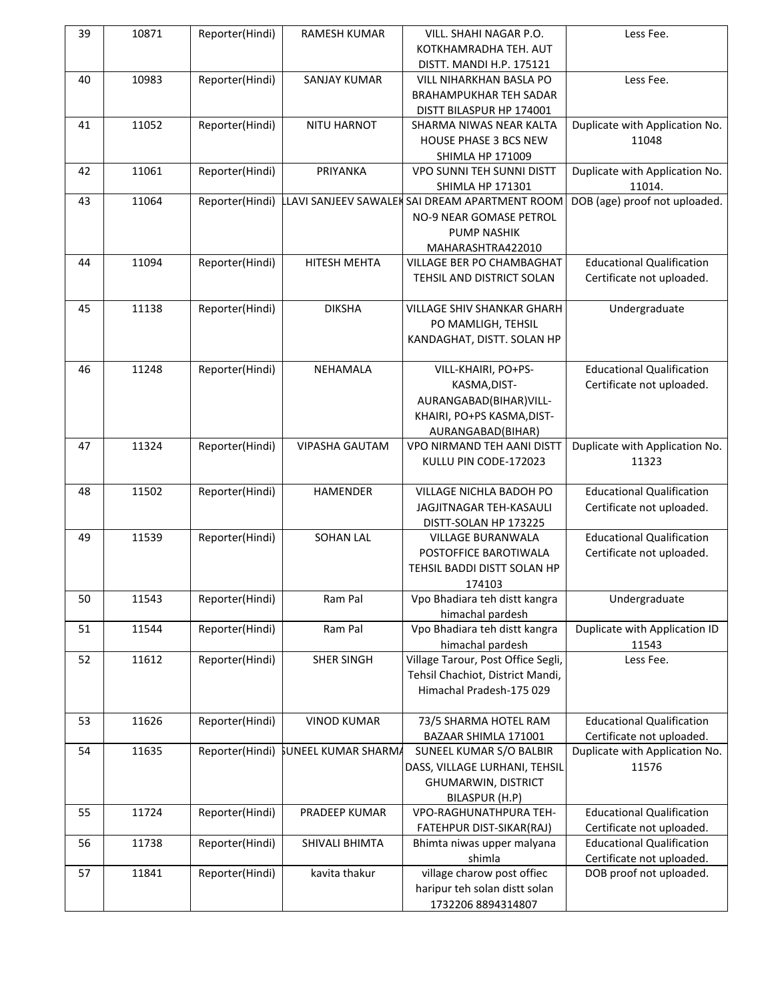| 39 | 10871 | Reporter(Hindi) | <b>RAMESH KUMAR</b>                 | VILL. SHAHI NAGAR P.O.                         | Less Fee.                        |
|----|-------|-----------------|-------------------------------------|------------------------------------------------|----------------------------------|
|    |       |                 |                                     | KOTKHAMRADHA TEH. AUT                          |                                  |
|    |       |                 |                                     | DISTT. MANDI H.P. 175121                       |                                  |
| 40 | 10983 | Reporter(Hindi) | <b>SANJAY KUMAR</b>                 | VILL NIHARKHAN BASLA PO                        | Less Fee.                        |
|    |       |                 |                                     | <b>BRAHAMPUKHAR TEH SADAR</b>                  |                                  |
|    |       |                 |                                     | DISTT BILASPUR HP 174001                       |                                  |
| 41 | 11052 | Reporter(Hindi) | NITU HARNOT                         | SHARMA NIWAS NEAR KALTA                        | Duplicate with Application No.   |
|    |       |                 |                                     | HOUSE PHASE 3 BCS NEW                          | 11048                            |
|    |       |                 |                                     | SHIMLA HP 171009                               |                                  |
| 42 | 11061 | Reporter(Hindi) | PRIYANKA                            | VPO SUNNI TEH SUNNI DISTT                      | Duplicate with Application No.   |
|    |       |                 |                                     | SHIMLA HP 171301                               | 11014.                           |
| 43 | 11064 | Reporter(Hindi) |                                     | LLAVI SANJEEV SAWALEK SAI DREAM APARTMENT ROOM | DOB (age) proof not uploaded.    |
|    |       |                 |                                     | NO-9 NEAR GOMASE PETROL                        |                                  |
|    |       |                 |                                     | <b>PUMP NASHIK</b>                             |                                  |
|    |       |                 |                                     |                                                |                                  |
| 44 | 11094 | Reporter(Hindi) | HITESH MEHTA                        | MAHARASHTRA422010<br>VILLAGE BER PO CHAMBAGHAT | <b>Educational Qualification</b> |
|    |       |                 |                                     |                                                |                                  |
|    |       |                 |                                     | TEHSIL AND DISTRICT SOLAN                      | Certificate not uploaded.        |
|    | 11138 |                 | <b>DIKSHA</b>                       |                                                |                                  |
| 45 |       | Reporter(Hindi) |                                     | <b>VILLAGE SHIV SHANKAR GHARH</b>              | Undergraduate                    |
|    |       |                 |                                     | PO MAMLIGH, TEHSIL                             |                                  |
|    |       |                 |                                     | KANDAGHAT, DISTT. SOLAN HP                     |                                  |
|    |       |                 |                                     |                                                |                                  |
| 46 | 11248 | Reporter(Hindi) | <b>NEHAMALA</b>                     | VILL-KHAIRI, PO+PS-                            | <b>Educational Qualification</b> |
|    |       |                 |                                     | KASMA, DIST-                                   | Certificate not uploaded.        |
|    |       |                 |                                     | AURANGABAD(BIHAR)VILL-                         |                                  |
|    |       |                 |                                     | KHAIRI, PO+PS KASMA, DIST-                     |                                  |
|    |       |                 |                                     | AURANGABAD(BIHAR)                              |                                  |
| 47 | 11324 | Reporter(Hindi) | <b>VIPASHA GAUTAM</b>               | VPO NIRMAND TEH AANI DISTT                     | Duplicate with Application No.   |
|    |       |                 |                                     | KULLU PIN CODE-172023                          | 11323                            |
|    |       |                 |                                     |                                                |                                  |
| 48 | 11502 | Reporter(Hindi) | HAMENDER                            | VILLAGE NICHLA BADOH PO                        | <b>Educational Qualification</b> |
|    |       |                 |                                     | JAGJITNAGAR TEH-KASAULI                        | Certificate not uploaded.        |
|    |       |                 |                                     | DISTT-SOLAN HP 173225                          |                                  |
| 49 | 11539 | Reporter(Hindi) | <b>SOHAN LAL</b>                    | <b>VILLAGE BURANWALA</b>                       | <b>Educational Qualification</b> |
|    |       |                 |                                     | POSTOFFICE BAROTIWALA                          | Certificate not uploaded.        |
|    |       |                 |                                     | TEHSIL BADDI DISTT SOLAN HP                    |                                  |
|    |       |                 |                                     | 174103                                         |                                  |
| 50 | 11543 | Reporter(Hindi) | Ram Pal                             | Vpo Bhadiara teh distt kangra                  | Undergraduate                    |
|    |       |                 |                                     | himachal pardesh                               |                                  |
| 51 | 11544 | Reporter(Hindi) | Ram Pal                             | Vpo Bhadiara teh distt kangra                  | Duplicate with Application ID    |
|    |       |                 |                                     | himachal pardesh                               | 11543                            |
| 52 | 11612 | Reporter(Hindi) | <b>SHER SINGH</b>                   | Village Tarour, Post Office Segli,             | Less Fee.                        |
|    |       |                 |                                     | Tehsil Chachiot, District Mandi,               |                                  |
|    |       |                 |                                     | Himachal Pradesh-175 029                       |                                  |
|    |       |                 |                                     |                                                |                                  |
| 53 | 11626 | Reporter(Hindi) | <b>VINOD KUMAR</b>                  | 73/5 SHARMA HOTEL RAM                          | <b>Educational Qualification</b> |
|    |       |                 |                                     | BAZAAR SHIMLA 171001                           | Certificate not uploaded.        |
| 54 | 11635 |                 | Reporter(Hindi) SUNEEL KUMAR SHARMA | SUNEEL KUMAR S/O BALBIR                        | Duplicate with Application No.   |
|    |       |                 |                                     | DASS, VILLAGE LURHANI, TEHSIL                  | 11576                            |
|    |       |                 |                                     | <b>GHUMARWIN, DISTRICT</b>                     |                                  |
|    |       |                 |                                     | BILASPUR (H.P)                                 |                                  |
| 55 | 11724 | Reporter(Hindi) | PRADEEP KUMAR                       | VPO-RAGHUNATHPURA TEH-                         | <b>Educational Qualification</b> |
|    |       |                 |                                     | FATEHPUR DIST-SIKAR(RAJ)                       | Certificate not uploaded.        |
| 56 | 11738 | Reporter(Hindi) | SHIVALI BHIMTA                      | Bhimta niwas upper malyana                     | <b>Educational Qualification</b> |
|    |       |                 |                                     | shimla                                         | Certificate not uploaded.        |
| 57 | 11841 | Reporter(Hindi) | kavita thakur                       | village charow post offiec                     | DOB proof not uploaded.          |
|    |       |                 |                                     | haripur teh solan distt solan                  |                                  |
|    |       |                 |                                     | 1732206 8894314807                             |                                  |
|    |       |                 |                                     |                                                |                                  |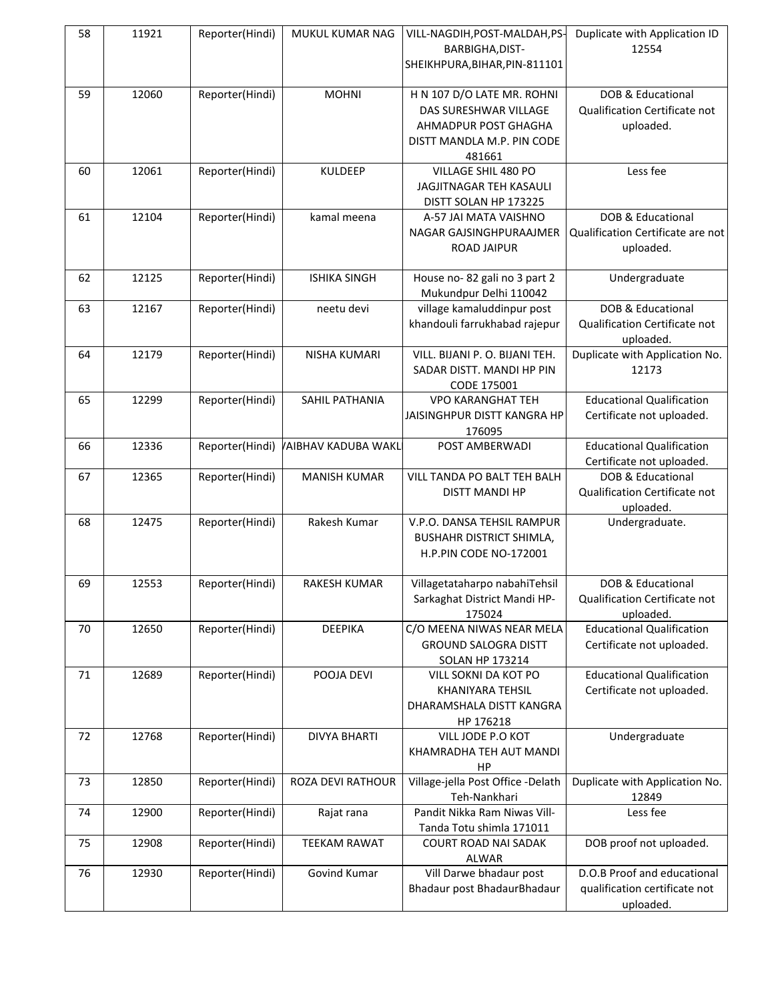| 58 | 11921 | Reporter(Hindi) | MUKUL KUMAR NAG            | VILL-NAGDIH, POST-MALDAH, PS-<br>BARBIGHA, DIST-<br>SHEIKHPURA, BIHAR, PIN-811101                                   | Duplicate with Application ID<br>12554                                    |
|----|-------|-----------------|----------------------------|---------------------------------------------------------------------------------------------------------------------|---------------------------------------------------------------------------|
| 59 | 12060 | Reporter(Hindi) | <b>MOHNI</b>               | H N 107 D/O LATE MR. ROHNI<br>DAS SURESHWAR VILLAGE<br>AHMADPUR POST GHAGHA<br>DISTT MANDLA M.P. PIN CODE<br>481661 | DOB & Educational<br>Qualification Certificate not<br>uploaded.           |
| 60 | 12061 | Reporter(Hindi) | <b>KULDEEP</b>             | VILLAGE SHIL 480 PO<br>JAGJITNAGAR TEH KASAULI<br>DISTT SOLAN HP 173225                                             | Less fee                                                                  |
| 61 | 12104 | Reporter(Hindi) | kamal meena                | A-57 JAI MATA VAISHNO<br>NAGAR GAJSINGHPURAAJMER<br><b>ROAD JAIPUR</b>                                              | DOB & Educational<br>Qualification Certificate are not<br>uploaded.       |
| 62 | 12125 | Reporter(Hindi) | <b>ISHIKA SINGH</b>        | House no-82 gali no 3 part 2<br>Mukundpur Delhi 110042                                                              | Undergraduate                                                             |
| 63 | 12167 | Reporter(Hindi) | neetu devi                 | village kamaluddinpur post<br>khandouli farrukhabad rajepur                                                         | DOB & Educational<br>Qualification Certificate not<br>uploaded.           |
| 64 | 12179 | Reporter(Hindi) | NISHA KUMARI               | VILL. BIJANI P. O. BIJANI TEH.<br>SADAR DISTT. MANDI HP PIN<br>CODE 175001                                          | Duplicate with Application No.<br>12173                                   |
| 65 | 12299 | Reporter(Hindi) | SAHIL PATHANIA             | <b>VPO KARANGHAT TEH</b><br>JAISINGHPUR DISTT KANGRA HP<br>176095                                                   | <b>Educational Qualification</b><br>Certificate not uploaded.             |
| 66 | 12336 | Reporter(Hindi) | <b>VAIBHAV KADUBA WAKL</b> | POST AMBERWADI                                                                                                      | <b>Educational Qualification</b><br>Certificate not uploaded.             |
| 67 | 12365 | Reporter(Hindi) | <b>MANISH KUMAR</b>        | VILL TANDA PO BALT TEH BALH<br><b>DISTT MANDI HP</b>                                                                | DOB & Educational<br>Qualification Certificate not<br>uploaded.           |
| 68 | 12475 | Reporter(Hindi) | Rakesh Kumar               | V.P.O. DANSA TEHSIL RAMPUR<br><b>BUSHAHR DISTRICT SHIMLA,</b><br>H.P.PIN CODE NO-172001                             | Undergraduate.                                                            |
| 69 | 12553 | Reporter(Hindi) | <b>RAKESH KUMAR</b>        | Villagetataharpo nabahiTehsil<br>Sarkaghat District Mandi HP-<br>175024                                             | DOB & Educational<br>Qualification Certificate not<br>uploaded.           |
| 70 | 12650 | Reporter(Hindi) | <b>DEEPIKA</b>             | C/O MEENA NIWAS NEAR MELA<br><b>GROUND SALOGRA DISTT</b><br><b>SOLAN HP 173214</b>                                  | <b>Educational Qualification</b><br>Certificate not uploaded.             |
| 71 | 12689 | Reporter(Hindi) | POOJA DEVI                 | VILL SOKNI DA KOT PO<br>KHANIYARA TEHSIL<br>DHARAMSHALA DISTT KANGRA<br>HP 176218                                   | <b>Educational Qualification</b><br>Certificate not uploaded.             |
| 72 | 12768 | Reporter(Hindi) | <b>DIVYA BHARTI</b>        | VILL JODE P.O KOT<br>KHAMRADHA TEH AUT MANDI<br>HP                                                                  | Undergraduate                                                             |
| 73 | 12850 | Reporter(Hindi) | <b>ROZA DEVI RATHOUR</b>   | Village-jella Post Office -Delath<br>Teh-Nankhari                                                                   | Duplicate with Application No.<br>12849                                   |
| 74 | 12900 | Reporter(Hindi) | Rajat rana                 | Pandit Nikka Ram Niwas Vill-<br>Tanda Totu shimla 171011                                                            | Less fee                                                                  |
| 75 | 12908 | Reporter(Hindi) | <b>TEEKAM RAWAT</b>        | COURT ROAD NAI SADAK<br>ALWAR                                                                                       | DOB proof not uploaded.                                                   |
| 76 | 12930 | Reporter(Hindi) | Govind Kumar               | Vill Darwe bhadaur post<br>Bhadaur post BhadaurBhadaur                                                              | D.O.B Proof and educational<br>qualification certificate not<br>uploaded. |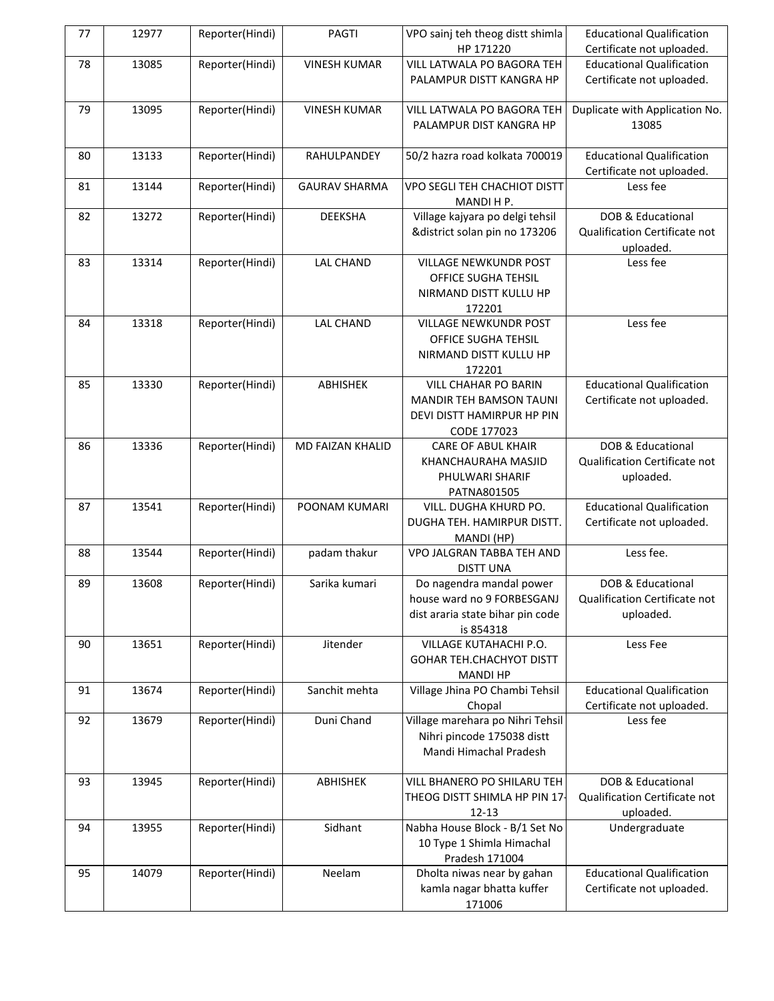| 77 | 12977 | Reporter(Hindi) | PAGTI                   | VPO sainj teh theog distt shimla           | <b>Educational Qualification</b>      |
|----|-------|-----------------|-------------------------|--------------------------------------------|---------------------------------------|
|    |       |                 |                         | HP 171220                                  | Certificate not uploaded.             |
| 78 | 13085 | Reporter(Hindi) | <b>VINESH KUMAR</b>     | VILL LATWALA PO BAGORA TEH                 | <b>Educational Qualification</b>      |
|    |       |                 |                         | PALAMPUR DISTT KANGRA HP                   | Certificate not uploaded.             |
|    |       |                 |                         |                                            |                                       |
| 79 | 13095 | Reporter(Hindi) | <b>VINESH KUMAR</b>     | VILL LATWALA PO BAGORA TEH                 | Duplicate with Application No.        |
|    |       |                 |                         | PALAMPUR DIST KANGRA HP                    | 13085                                 |
|    |       |                 |                         |                                            |                                       |
| 80 | 13133 | Reporter(Hindi) | RAHULPANDEY             | 50/2 hazra road kolkata 700019             | <b>Educational Qualification</b>      |
|    |       |                 |                         |                                            | Certificate not uploaded.             |
| 81 | 13144 | Reporter(Hindi) | <b>GAURAV SHARMA</b>    | VPO SEGLI TEH CHACHIOT DISTT               | Less fee                              |
|    |       |                 |                         | MANDI H P.                                 |                                       |
| 82 | 13272 | Reporter(Hindi) | <b>DEEKSHA</b>          | Village kajyara po delgi tehsil            | DOB & Educational                     |
|    |       |                 |                         | &district solan pin no 173206              | Qualification Certificate not         |
|    |       |                 |                         |                                            | uploaded.                             |
| 83 | 13314 | Reporter(Hindi) | <b>LAL CHAND</b>        | VILLAGE NEWKUNDR POST                      | Less fee                              |
|    |       |                 |                         | OFFICE SUGHA TEHSIL                        |                                       |
|    |       |                 |                         | NIRMAND DISTT KULLU HP                     |                                       |
|    |       |                 |                         | 172201                                     |                                       |
| 84 | 13318 | Reporter(Hindi) | <b>LAL CHAND</b>        | <b>VILLAGE NEWKUNDR POST</b>               | Less fee                              |
|    |       |                 |                         | OFFICE SUGHA TEHSIL                        |                                       |
|    |       |                 |                         | NIRMAND DISTT KULLU HP                     |                                       |
|    |       |                 |                         | 172201                                     |                                       |
| 85 | 13330 | Reporter(Hindi) | ABHISHEK                | <b>VILL CHAHAR PO BARIN</b>                | <b>Educational Qualification</b>      |
|    |       |                 |                         | <b>MANDIR TEH BAMSON TAUNI</b>             | Certificate not uploaded.             |
|    |       |                 |                         | DEVI DISTT HAMIRPUR HP PIN                 |                                       |
|    |       |                 |                         | CODE 177023                                |                                       |
| 86 | 13336 | Reporter(Hindi) | <b>MD FAIZAN KHALID</b> | <b>CARE OF ABUL KHAIR</b>                  | DOB & Educational                     |
|    |       |                 |                         | KHANCHAURAHA MASJID                        | Qualification Certificate not         |
|    |       |                 |                         | PHULWARI SHARIF                            | uploaded.                             |
|    |       |                 |                         | PATNA801505                                |                                       |
| 87 | 13541 | Reporter(Hindi) | POONAM KUMARI           | VILL. DUGHA KHURD PO.                      | <b>Educational Qualification</b>      |
|    |       |                 |                         | DUGHA TEH. HAMIRPUR DISTT.                 | Certificate not uploaded.             |
|    |       |                 |                         | MANDI (HP)                                 |                                       |
| 88 | 13544 | Reporter(Hindi) | padam thakur            | VPO JALGRAN TABBA TEH AND                  | Less fee.                             |
|    |       |                 |                         | <b>DISTT UNA</b>                           |                                       |
| 89 | 13608 | Reporter(Hindi) | Sarika kumari           | Do nagendra mandal power                   | DOB & Educational                     |
|    |       |                 |                         | house ward no 9 FORBESGANJ                 | Qualification Certificate not         |
|    |       |                 |                         | dist araria state bihar pin code           | uploaded.                             |
|    |       |                 |                         | is 854318                                  |                                       |
| 90 | 13651 | Reporter(Hindi) | Jitender                | VILLAGE KUTAHACHI P.O.                     | Less Fee                              |
|    |       |                 |                         | <b>GOHAR TEH.CHACHYOT DISTT</b>            |                                       |
|    | 13674 |                 | Sanchit mehta           | <b>MANDI HP</b>                            | <b>Educational Qualification</b>      |
| 91 |       | Reporter(Hindi) |                         | Village Jhina PO Chambi Tehsil             |                                       |
| 92 | 13679 | Reporter(Hindi) | Duni Chand              | Chopal<br>Village marehara po Nihri Tehsil | Certificate not uploaded.<br>Less fee |
|    |       |                 |                         | Nihri pincode 175038 distt                 |                                       |
|    |       |                 |                         | Mandi Himachal Pradesh                     |                                       |
|    |       |                 |                         |                                            |                                       |
| 93 | 13945 | Reporter(Hindi) | ABHISHEK                | VILL BHANERO PO SHILARU TEH                | DOB & Educational                     |
|    |       |                 |                         | THEOG DISTT SHIMLA HP PIN 17-              | Qualification Certificate not         |
|    |       |                 |                         | $12 - 13$                                  | uploaded.                             |
| 94 | 13955 | Reporter(Hindi) | Sidhant                 | Nabha House Block - B/1 Set No             | Undergraduate                         |
|    |       |                 |                         | 10 Type 1 Shimla Himachal                  |                                       |
|    |       |                 |                         | Pradesh 171004                             |                                       |
| 95 | 14079 | Reporter(Hindi) | Neelam                  | Dholta niwas near by gahan                 | <b>Educational Qualification</b>      |
|    |       |                 |                         | kamla nagar bhatta kuffer                  | Certificate not uploaded.             |
|    |       |                 |                         | 171006                                     |                                       |
|    |       |                 |                         |                                            |                                       |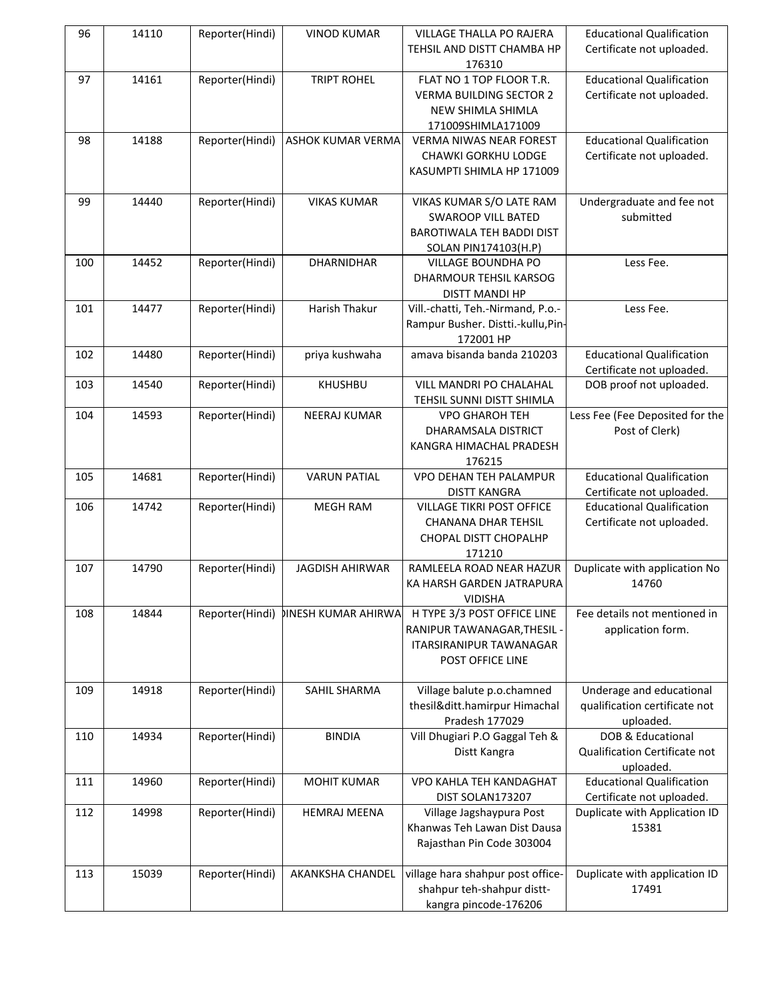| 96  | 14110 | Reporter(Hindi) | <b>VINOD KUMAR</b>         | <b>VILLAGE THALLA PO RAJERA</b><br>TEHSIL AND DISTT CHAMBA HP<br>176310                                           | <b>Educational Qualification</b><br>Certificate not uploaded.          |
|-----|-------|-----------------|----------------------------|-------------------------------------------------------------------------------------------------------------------|------------------------------------------------------------------------|
| 97  | 14161 | Reporter(Hindi) | <b>TRIPT ROHEL</b>         | FLAT NO 1 TOP FLOOR T.R.<br><b>VERMA BUILDING SECTOR 2</b><br>NEW SHIMLA SHIMLA<br>171009SHIMLA171009             | <b>Educational Qualification</b><br>Certificate not uploaded.          |
| 98  | 14188 | Reporter(Hindi) | ASHOK KUMAR VERMA          | <b>VERMA NIWAS NEAR FOREST</b><br><b>CHAWKI GORKHU LODGE</b><br>KASUMPTI SHIMLA HP 171009                         | <b>Educational Qualification</b><br>Certificate not uploaded.          |
| 99  | 14440 | Reporter(Hindi) | <b>VIKAS KUMAR</b>         | VIKAS KUMAR S/O LATE RAM<br><b>SWAROOP VILL BATED</b><br>BAROTIWALA TEH BADDI DIST<br><b>SOLAN PIN174103(H.P)</b> | Undergraduate and fee not<br>submitted                                 |
| 100 | 14452 | Reporter(Hindi) | <b>DHARNIDHAR</b>          | VILLAGE BOUNDHA PO<br>DHARMOUR TEHSIL KARSOG<br>DISTT MANDI HP                                                    | Less Fee.                                                              |
| 101 | 14477 | Reporter(Hindi) | Harish Thakur              | Vill.-chatti, Teh.-Nirmand, P.o.-<br>Rampur Busher. Distti.-kullu, Pin-<br>172001 HP                              | Less Fee.                                                              |
| 102 | 14480 | Reporter(Hindi) | priya kushwaha             | amava bisanda banda 210203                                                                                        | <b>Educational Qualification</b><br>Certificate not uploaded.          |
| 103 | 14540 | Reporter(Hindi) | KHUSHBU                    | VILL MANDRI PO CHALAHAL<br>TEHSIL SUNNI DISTT SHIMLA                                                              | DOB proof not uploaded.                                                |
| 104 | 14593 | Reporter(Hindi) | NEERAJ KUMAR               | <b>VPO GHAROH TEH</b><br>DHARAMSALA DISTRICT<br>KANGRA HIMACHAL PRADESH<br>176215                                 | Less Fee (Fee Deposited for the<br>Post of Clerk)                      |
| 105 | 14681 | Reporter(Hindi) | <b>VARUN PATIAL</b>        | VPO DEHAN TEH PALAMPUR<br>DISTT KANGRA                                                                            | <b>Educational Qualification</b><br>Certificate not uploaded.          |
| 106 | 14742 | Reporter(Hindi) | <b>MEGH RAM</b>            | <b>VILLAGE TIKRI POST OFFICE</b><br><b>CHANANA DHAR TEHSIL</b><br>CHOPAL DISTT CHOPALHP<br>171210                 | <b>Educational Qualification</b><br>Certificate not uploaded.          |
| 107 | 14790 | Reporter(Hindi) | <b>JAGDISH AHIRWAR</b>     | RAMLEELA ROAD NEAR HAZUR<br>KA HARSH GARDEN JATRAPURA<br><b>VIDISHA</b>                                           | Duplicate with application No<br>14760                                 |
| 108 | 14844 | Reporter(Hindi) | <b>DINESH KUMAR AHIRWA</b> | H TYPE 3/3 POST OFFICE LINE<br>RANIPUR TAWANAGAR, THESIL -<br><b>ITARSIRANIPUR TAWANAGAR</b><br>POST OFFICE LINE  | Fee details not mentioned in<br>application form.                      |
| 109 | 14918 | Reporter(Hindi) | SAHIL SHARMA               | Village balute p.o.chamned<br>thesil&ditt.hamirpur Himachal<br>Pradesh 177029                                     | Underage and educational<br>qualification certificate not<br>uploaded. |
| 110 | 14934 | Reporter(Hindi) | <b>BINDIA</b>              | Vill Dhugiari P.O Gaggal Teh &<br>Distt Kangra                                                                    | DOB & Educational<br>Qualification Certificate not<br>uploaded.        |
| 111 | 14960 | Reporter(Hindi) | <b>MOHIT KUMAR</b>         | VPO KAHLA TEH KANDAGHAT<br>DIST SOLAN173207                                                                       | <b>Educational Qualification</b><br>Certificate not uploaded.          |
| 112 | 14998 | Reporter(Hindi) | <b>HEMRAJ MEENA</b>        | Village Jagshaypura Post<br>Khanwas Teh Lawan Dist Dausa<br>Rajasthan Pin Code 303004                             | Duplicate with Application ID<br>15381                                 |
| 113 | 15039 | Reporter(Hindi) | AKANKSHA CHANDEL           | village hara shahpur post office-<br>shahpur teh-shahpur distt-<br>kangra pincode-176206                          | Duplicate with application ID<br>17491                                 |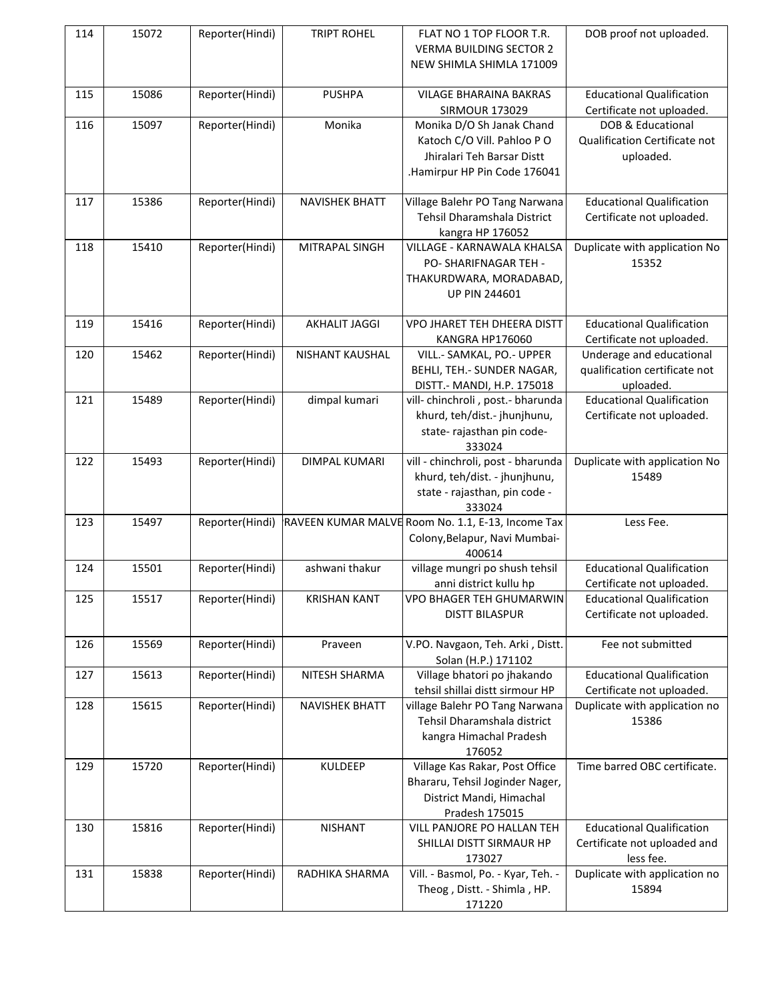| 114 | 15072 | Reporter(Hindi) | <b>TRIPT ROHEL</b>    | FLAT NO 1 TOP FLOOR T.R.<br><b>VERMA BUILDING SECTOR 2</b><br>NEW SHIMLA SHIMLA 171009                                | DOB proof not uploaded.                                                       |
|-----|-------|-----------------|-----------------------|-----------------------------------------------------------------------------------------------------------------------|-------------------------------------------------------------------------------|
| 115 | 15086 | Reporter(Hindi) | <b>PUSHPA</b>         | <b>VILAGE BHARAINA BAKRAS</b><br><b>SIRMOUR 173029</b>                                                                | <b>Educational Qualification</b><br>Certificate not uploaded.                 |
| 116 | 15097 | Reporter(Hindi) | Monika                | Monika D/O Sh Janak Chand<br>Katoch C/O Vill. Pahloo PO<br>Jhiralari Teh Barsar Distt<br>.Hamirpur HP Pin Code 176041 | DOB & Educational<br>Qualification Certificate not<br>uploaded.               |
| 117 | 15386 | Reporter(Hindi) | <b>NAVISHEK BHATT</b> | Village Balehr PO Tang Narwana<br>Tehsil Dharamshala District<br>kangra HP 176052                                     | <b>Educational Qualification</b><br>Certificate not uploaded.                 |
| 118 | 15410 | Reporter(Hindi) | MITRAPAL SINGH        | VILLAGE - KARNAWALA KHALSA<br>PO- SHARIFNAGAR TEH -<br>THAKURDWARA, MORADABAD,<br><b>UP PIN 244601</b>                | Duplicate with application No<br>15352                                        |
| 119 | 15416 | Reporter(Hindi) | <b>AKHALIT JAGGI</b>  | VPO JHARET TEH DHEERA DISTT<br>KANGRA HP176060                                                                        | <b>Educational Qualification</b><br>Certificate not uploaded.                 |
| 120 | 15462 | Reporter(Hindi) | NISHANT KAUSHAL       | VILL.- SAMKAL, PO.- UPPER<br>BEHLI, TEH.- SUNDER NAGAR,<br>DISTT.- MANDI, H.P. 175018                                 | Underage and educational<br>qualification certificate not<br>uploaded.        |
| 121 | 15489 | Reporter(Hindi) | dimpal kumari         | vill-chinchroli, post.- bharunda<br>khurd, teh/dist.- jhunjhunu,<br>state- rajasthan pin code-<br>333024              | <b>Educational Qualification</b><br>Certificate not uploaded.                 |
| 122 | 15493 | Reporter(Hindi) | <b>DIMPAL KUMARI</b>  | vill - chinchroli, post - bharunda<br>khurd, teh/dist. - jhunjhunu,<br>state - rajasthan, pin code -<br>333024        | Duplicate with application No<br>15489                                        |
| 123 | 15497 | Reporter(Hindi) |                       | RAVEEN KUMAR MALVE Room No. 1.1, E-13, Income Tax<br>Colony, Belapur, Navi Mumbai-<br>400614                          | Less Fee.                                                                     |
| 124 | 15501 | Reporter(Hindi) | ashwani thakur        | village mungri po shush tehsil<br>anni district kullu hp                                                              | <b>Educational Qualification</b><br>Certificate not uploaded.                 |
| 125 | 15517 | Reporter(Hindi) | <b>KRISHAN KANT</b>   | VPO BHAGER TEH GHUMARWIN<br><b>DISTT BILASPUR</b>                                                                     | <b>Educational Qualification</b><br>Certificate not uploaded.                 |
| 126 | 15569 | Reporter(Hindi) | Praveen               | V.PO. Navgaon, Teh. Arki, Distt.<br>Solan (H.P.) 171102                                                               | Fee not submitted                                                             |
| 127 | 15613 | Reporter(Hindi) | NITESH SHARMA         | Village bhatori po jhakando<br>tehsil shillai distt sirmour HP                                                        | <b>Educational Qualification</b><br>Certificate not uploaded.                 |
| 128 | 15615 | Reporter(Hindi) | <b>NAVISHEK BHATT</b> | village Balehr PO Tang Narwana<br>Tehsil Dharamshala district<br>kangra Himachal Pradesh<br>176052                    | Duplicate with application no<br>15386                                        |
| 129 | 15720 | Reporter(Hindi) | KULDEEP               | Village Kas Rakar, Post Office<br>Bhararu, Tehsil Joginder Nager,<br>District Mandi, Himachal<br>Pradesh 175015       | Time barred OBC certificate.                                                  |
| 130 | 15816 | Reporter(Hindi) | <b>NISHANT</b>        | VILL PANJORE PO HALLAN TEH<br>SHILLAI DISTT SIRMAUR HP<br>173027                                                      | <b>Educational Qualification</b><br>Certificate not uploaded and<br>less fee. |
| 131 | 15838 | Reporter(Hindi) | RADHIKA SHARMA        | Vill. - Basmol, Po. - Kyar, Teh. -<br>Theog, Distt. - Shimla, HP.<br>171220                                           | Duplicate with application no<br>15894                                        |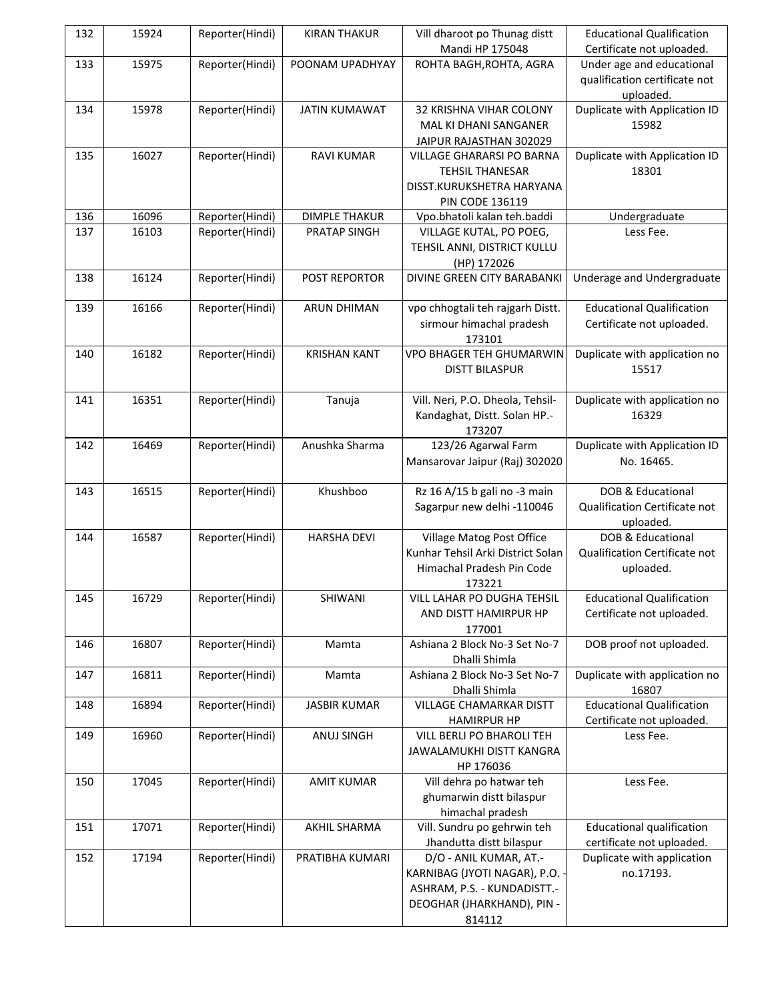| 132 | 15924 | Reporter(Hindi) | <b>KIRAN THAKUR</b>  | Vill dharoot po Thunag distt                                   | <b>Educational Qualification</b> |
|-----|-------|-----------------|----------------------|----------------------------------------------------------------|----------------------------------|
|     |       |                 |                      | Mandi HP 175048                                                | Certificate not uploaded.        |
| 133 | 15975 | Reporter(Hindi) | POONAM UPADHYAY      | ROHTA BAGH, ROHTA, AGRA                                        | Under age and educational        |
|     |       |                 |                      |                                                                | qualification certificate not    |
|     |       |                 |                      |                                                                | uploaded.                        |
| 134 | 15978 | Reporter(Hindi) | <b>JATIN KUMAWAT</b> | 32 KRISHNA VIHAR COLONY                                        | Duplicate with Application ID    |
|     |       |                 |                      | MAL KI DHANI SANGANER                                          | 15982                            |
|     |       |                 |                      | JAIPUR RAJASTHAN 302029                                        |                                  |
| 135 | 16027 | Reporter(Hindi) | <b>RAVI KUMAR</b>    | <b>VILLAGE GHARARSI PO BARNA</b>                               | Duplicate with Application ID    |
|     |       |                 |                      | <b>TEHSIL THANESAR</b>                                         | 18301                            |
|     |       |                 |                      | DISST.KURUKSHETRA HARYANA                                      |                                  |
|     |       |                 |                      | <b>PIN CODE 136119</b>                                         |                                  |
| 136 | 16096 | Reporter(Hindi) | <b>DIMPLE THAKUR</b> | Vpo.bhatoli kalan teh.baddi                                    | Undergraduate                    |
| 137 | 16103 | Reporter(Hindi) | PRATAP SINGH         | VILLAGE KUTAL, PO POEG,                                        | Less Fee.                        |
|     |       |                 |                      | TEHSIL ANNI, DISTRICT KULLU                                    |                                  |
|     |       |                 |                      | (HP) 172026                                                    |                                  |
| 138 | 16124 | Reporter(Hindi) | POST REPORTOR        | DIVINE GREEN CITY BARABANKI                                    | Underage and Undergraduate       |
|     |       |                 |                      |                                                                |                                  |
| 139 | 16166 | Reporter(Hindi) | ARUN DHIMAN          | vpo chhogtali teh rajgarh Distt.                               | <b>Educational Qualification</b> |
|     |       |                 |                      | sirmour himachal pradesh                                       | Certificate not uploaded.        |
|     |       |                 |                      | 173101                                                         |                                  |
| 140 | 16182 | Reporter(Hindi) | <b>KRISHAN KANT</b>  | VPO BHAGER TEH GHUMARWIN                                       | Duplicate with application no    |
|     |       |                 |                      | <b>DISTT BILASPUR</b>                                          | 15517                            |
|     |       |                 |                      |                                                                |                                  |
| 141 | 16351 | Reporter(Hindi) | Tanuja               | Vill. Neri, P.O. Dheola, Tehsil-                               | Duplicate with application no    |
|     |       |                 |                      | Kandaghat, Distt. Solan HP.-                                   | 16329                            |
|     |       |                 |                      | 173207                                                         |                                  |
| 142 | 16469 | Reporter(Hindi) | Anushka Sharma       | 123/26 Agarwal Farm                                            | Duplicate with Application ID    |
|     |       |                 |                      | Mansarovar Jaipur (Raj) 302020                                 | No. 16465.                       |
|     |       |                 |                      |                                                                |                                  |
| 143 | 16515 | Reporter(Hindi) | Khushboo             | Rz 16 A/15 b gali no -3 main                                   | DOB & Educational                |
|     |       |                 |                      |                                                                | Qualification Certificate not    |
|     |       |                 |                      | Sagarpur new delhi -110046                                     |                                  |
| 144 | 16587 |                 | <b>HARSHA DEVI</b>   |                                                                | uploaded.<br>DOB & Educational   |
|     |       | Reporter(Hindi) |                      | Village Matog Post Office<br>Kunhar Tehsil Arki District Solan | Qualification Certificate not    |
|     |       |                 |                      |                                                                |                                  |
|     |       |                 |                      | Himachal Pradesh Pin Code                                      | uploaded.                        |
|     |       |                 |                      | 173221                                                         |                                  |
| 145 | 16729 | Reporter(Hindi) | SHIWANI              | VILL LAHAR PO DUGHA TEHSIL                                     | <b>Educational Qualification</b> |
|     |       |                 |                      | AND DISTT HAMIRPUR HP                                          | Certificate not uploaded.        |
|     |       |                 |                      | 177001                                                         |                                  |
| 146 | 16807 | Reporter(Hindi) | Mamta                | Ashiana 2 Block No-3 Set No-7                                  | DOB proof not uploaded.          |
|     |       |                 |                      | Dhalli Shimla                                                  |                                  |
| 147 | 16811 | Reporter(Hindi) | Mamta                | Ashiana 2 Block No-3 Set No-7                                  | Duplicate with application no    |
|     |       |                 |                      | Dhalli Shimla                                                  | 16807                            |
| 148 | 16894 | Reporter(Hindi) | <b>JASBIR KUMAR</b>  | <b>VILLAGE CHAMARKAR DISTT</b>                                 | <b>Educational Qualification</b> |
|     |       |                 |                      | <b>HAMIRPUR HP</b>                                             | Certificate not uploaded.        |
| 149 | 16960 | Reporter(Hindi) | ANUJ SINGH           | VILL BERLI PO BHAROLI TEH                                      | Less Fee.                        |
|     |       |                 |                      | JAWALAMUKHI DISTT KANGRA                                       |                                  |
|     |       |                 |                      | HP 176036                                                      |                                  |
| 150 | 17045 | Reporter(Hindi) | <b>AMIT KUMAR</b>    | Vill dehra po hatwar teh                                       | Less Fee.                        |
|     |       |                 |                      | ghumarwin distt bilaspur                                       |                                  |
|     |       |                 |                      | himachal pradesh                                               |                                  |
| 151 | 17071 | Reporter(Hindi) | AKHIL SHARMA         | Vill. Sundru po gehrwin teh                                    | <b>Educational qualification</b> |
|     |       |                 |                      | Jhandutta distt bilaspur                                       | certificate not uploaded.        |
| 152 | 17194 | Reporter(Hindi) | PRATIBHA KUMARI      | D/O - ANIL KUMAR, AT.-                                         | Duplicate with application       |
|     |       |                 |                      | KARNIBAG (JYOTI NAGAR), P.O. -                                 | no.17193.                        |
|     |       |                 |                      | ASHRAM, P.S. - KUNDADISTT.-                                    |                                  |
|     |       |                 |                      | DEOGHAR (JHARKHAND), PIN -                                     |                                  |
|     |       |                 |                      | 814112                                                         |                                  |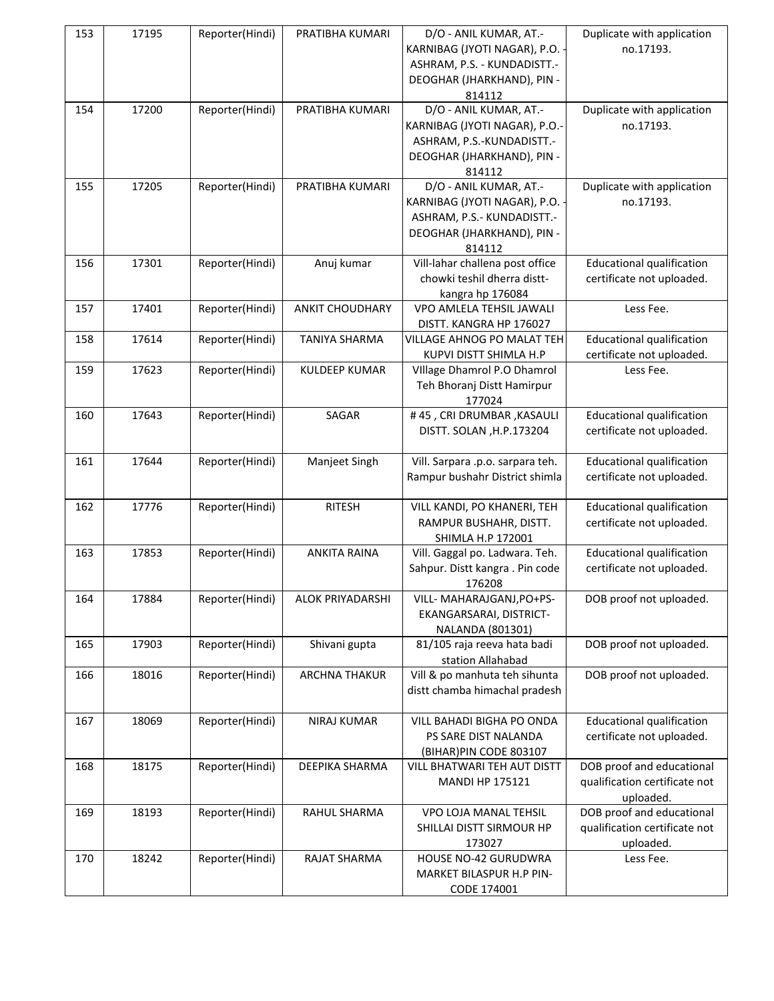| 153 | 17195 | Reporter(Hindi) | PRATIBHA KUMARI        | D/O - ANIL KUMAR, AT.-<br>KARNIBAG (JYOTI NAGAR), P.O.              | Duplicate with application<br>no.17193.                    |
|-----|-------|-----------------|------------------------|---------------------------------------------------------------------|------------------------------------------------------------|
|     |       |                 |                        | ASHRAM, P.S. - KUNDADISTT.-<br>DEOGHAR (JHARKHAND), PIN -<br>814112 |                                                            |
| 154 | 17200 | Reporter(Hindi) | PRATIBHA KUMARI        | D/O - ANIL KUMAR, AT.-                                              | Duplicate with application                                 |
|     |       |                 |                        | KARNIBAG (JYOTI NAGAR), P.O.-                                       | no.17193.                                                  |
|     |       |                 |                        | ASHRAM, P.S.-KUNDADISTT.-                                           |                                                            |
|     |       |                 |                        | DEOGHAR (JHARKHAND), PIN -                                          |                                                            |
|     |       |                 |                        | 814112                                                              |                                                            |
| 155 | 17205 | Reporter(Hindi) | PRATIBHA KUMARI        | D/O - ANIL KUMAR, AT.-<br>KARNIBAG (JYOTI NAGAR), P.O.              | Duplicate with application<br>no.17193.                    |
|     |       |                 |                        | ASHRAM, P.S.- KUNDADISTT.-                                          |                                                            |
|     |       |                 |                        | DEOGHAR (JHARKHAND), PIN -                                          |                                                            |
|     |       |                 |                        | 814112                                                              |                                                            |
| 156 | 17301 | Reporter(Hindi) | Anuj kumar             | Vill-lahar challena post office                                     | <b>Educational qualification</b>                           |
|     |       |                 |                        | chowki teshil dherra distt-                                         | certificate not uploaded.                                  |
|     |       |                 |                        | kangra hp 176084                                                    |                                                            |
| 157 | 17401 | Reporter(Hindi) | <b>ANKIT CHOUDHARY</b> | VPO AMLELA TEHSIL JAWALI                                            | Less Fee.                                                  |
|     |       |                 |                        | DISTT. KANGRA HP 176027                                             |                                                            |
| 158 | 17614 | Reporter(Hindi) | <b>TANIYA SHARMA</b>   | VILLAGE AHNOG PO MALAT TEH                                          | <b>Educational qualification</b>                           |
| 159 | 17623 | Reporter(Hindi) |                        | KUPVI DISTT SHIMLA H.P                                              | certificate not uploaded.<br>Less Fee.                     |
|     |       |                 | <b>KULDEEP KUMAR</b>   | Village Dhamrol P.O Dhamrol<br>Teh Bhoranj Distt Hamirpur           |                                                            |
|     |       |                 |                        | 177024                                                              |                                                            |
| 160 | 17643 | Reporter(Hindi) | SAGAR                  | #45, CRI DRUMBAR, KASAULI                                           | <b>Educational qualification</b>                           |
|     |       |                 |                        | DISTT. SOLAN, H.P.173204                                            | certificate not uploaded.                                  |
|     |       |                 |                        |                                                                     |                                                            |
| 161 | 17644 | Reporter(Hindi) | Manjeet Singh          | Vill. Sarpara .p.o. sarpara teh.                                    | <b>Educational qualification</b>                           |
|     |       |                 |                        | Rampur bushahr District shimla                                      | certificate not uploaded.                                  |
| 162 | 17776 | Reporter(Hindi) | <b>RITESH</b>          | VILL KANDI, PO KHANERI, TEH                                         | <b>Educational qualification</b>                           |
|     |       |                 |                        | RAMPUR BUSHAHR, DISTT.                                              | certificate not uploaded.                                  |
|     |       |                 |                        | SHIMLA H.P 172001                                                   |                                                            |
| 163 | 17853 | Reporter(Hindi) | <b>ANKITA RAINA</b>    | Vill. Gaggal po. Ladwara. Teh.                                      | <b>Educational qualification</b>                           |
|     |       |                 |                        | Sahpur. Distt kangra. Pin code<br>176208                            | certificate not uploaded.                                  |
| 164 | 17884 | Reporter(Hindi) | ALOK PRIYADARSHI       | VILL- MAHARAJGANJ, PO+PS-                                           | DOB proof not uploaded.                                    |
|     |       |                 |                        | EKANGARSARAI, DISTRICT-                                             |                                                            |
|     |       |                 |                        | NALANDA (801301)                                                    |                                                            |
| 165 | 17903 | Reporter(Hindi) | Shivani gupta          | 81/105 raja reeva hata badi<br>station Allahabad                    | DOB proof not uploaded.                                    |
| 166 | 18016 | Reporter(Hindi) | <b>ARCHNA THAKUR</b>   | Vill & po manhuta teh sihunta                                       | DOB proof not uploaded.                                    |
|     |       |                 |                        | distt chamba himachal pradesh                                       |                                                            |
|     |       |                 |                        |                                                                     |                                                            |
| 167 | 18069 | Reporter(Hindi) | NIRAJ KUMAR            | VILL BAHADI BIGHA PO ONDA                                           | <b>Educational qualification</b>                           |
|     |       |                 |                        | PS SARE DIST NALANDA                                                | certificate not uploaded.                                  |
|     |       |                 |                        | (BIHAR) PIN CODE 803107                                             |                                                            |
| 168 | 18175 | Reporter(Hindi) | DEEPIKA SHARMA         | VILL BHATWARI TEH AUT DISTT                                         | DOB proof and educational                                  |
|     |       |                 |                        | <b>MANDI HP 175121</b>                                              | qualification certificate not                              |
|     |       |                 |                        |                                                                     | uploaded.                                                  |
| 169 | 18193 | Reporter(Hindi) | RAHUL SHARMA           | VPO LOJA MANAL TEHSIL                                               | DOB proof and educational<br>qualification certificate not |
|     |       |                 |                        | SHILLAI DISTT SIRMOUR HP<br>173027                                  | uploaded.                                                  |
| 170 | 18242 | Reporter(Hindi) | RAJAT SHARMA           | HOUSE NO-42 GURUDWRA                                                | Less Fee.                                                  |
|     |       |                 |                        | MARKET BILASPUR H.P PIN-                                            |                                                            |
|     |       |                 |                        | CODE 174001                                                         |                                                            |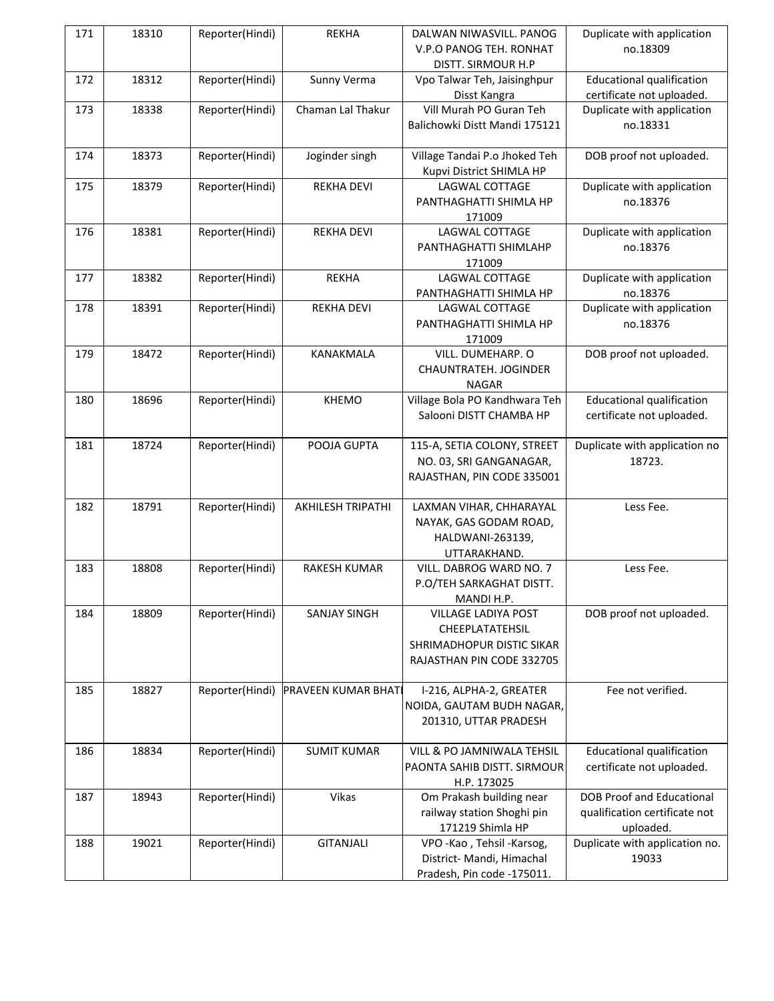| 171 | 18310 | Reporter(Hindi) | <b>REKHA</b>               | DALWAN NIWASVILL. PANOG<br>V.P.O PANOG TEH. RONHAT<br>DISTT. SIRMOUR H.P                         | Duplicate with application<br>no.18309                                         |
|-----|-------|-----------------|----------------------------|--------------------------------------------------------------------------------------------------|--------------------------------------------------------------------------------|
| 172 | 18312 | Reporter(Hindi) | Sunny Verma                | Vpo Talwar Teh, Jaisinghpur<br>Disst Kangra                                                      | <b>Educational qualification</b><br>certificate not uploaded.                  |
| 173 | 18338 | Reporter(Hindi) | Chaman Lal Thakur          | Vill Murah PO Guran Teh<br>Balichowki Distt Mandi 175121                                         | Duplicate with application<br>no.18331                                         |
| 174 | 18373 | Reporter(Hindi) | Joginder singh             | Village Tandai P.o Jhoked Teh<br>Kupvi District SHIMLA HP                                        | DOB proof not uploaded.                                                        |
| 175 | 18379 | Reporter(Hindi) | <b>REKHA DEVI</b>          | LAGWAL COTTAGE<br>PANTHAGHATTI SHIMLA HP<br>171009                                               | Duplicate with application<br>no.18376                                         |
| 176 | 18381 | Reporter(Hindi) | <b>REKHA DEVI</b>          | LAGWAL COTTAGE<br>PANTHAGHATTI SHIMLAHP<br>171009                                                | Duplicate with application<br>no.18376                                         |
| 177 | 18382 | Reporter(Hindi) | <b>REKHA</b>               | LAGWAL COTTAGE<br>PANTHAGHATTI SHIMLA HP                                                         | Duplicate with application<br>no.18376                                         |
| 178 | 18391 | Reporter(Hindi) | <b>REKHA DEVI</b>          | LAGWAL COTTAGE<br>PANTHAGHATTI SHIMLA HP<br>171009                                               | Duplicate with application<br>no.18376                                         |
| 179 | 18472 | Reporter(Hindi) | KANAKMALA                  | VILL. DUMEHARP. O<br>CHAUNTRATEH. JOGINDER<br><b>NAGAR</b>                                       | DOB proof not uploaded.                                                        |
| 180 | 18696 | Reporter(Hindi) | <b>KHEMO</b>               | Village Bola PO Kandhwara Teh<br>Salooni DISTT CHAMBA HP                                         | <b>Educational qualification</b><br>certificate not uploaded.                  |
| 181 | 18724 | Reporter(Hindi) | POOJA GUPTA                | 115-A, SETIA COLONY, STREET<br>NO. 03, SRI GANGANAGAR,<br>RAJASTHAN, PIN CODE 335001             | Duplicate with application no<br>18723.                                        |
| 182 | 18791 | Reporter(Hindi) | <b>AKHILESH TRIPATHI</b>   | LAXMAN VIHAR, CHHARAYAL<br>NAYAK, GAS GODAM ROAD,<br>HALDWANI-263139,<br>UTTARAKHAND.            | Less Fee.                                                                      |
| 183 | 18808 | Reporter(Hindi) | RAKESH KUMAR               | VILL. DABROG WARD NO. 7<br>P.O/TEH SARKAGHAT DISTT.<br>MANDI H.P.                                | Less Fee.                                                                      |
| 184 | 18809 | Reporter(Hindi) | <b>SANJAY SINGH</b>        | VILLAGE LADIYA POST<br>CHEEPLATATEHSIL<br>SHRIMADHOPUR DISTIC SIKAR<br>RAJASTHAN PIN CODE 332705 | DOB proof not uploaded.                                                        |
| 185 | 18827 | Reporter(Hindi) | <b>PRAVEEN KUMAR BHATI</b> | I-216, ALPHA-2, GREATER<br>NOIDA, GAUTAM BUDH NAGAR,<br>201310, UTTAR PRADESH                    | Fee not verified.                                                              |
| 186 | 18834 | Reporter(Hindi) | <b>SUMIT KUMAR</b>         | VILL & PO JAMNIWALA TEHSIL<br>PAONTA SAHIB DISTT. SIRMOUR<br>H.P. 173025                         | <b>Educational qualification</b><br>certificate not uploaded.                  |
| 187 | 18943 | Reporter(Hindi) | Vikas                      | Om Prakash building near<br>railway station Shoghi pin<br>171219 Shimla HP                       | <b>DOB Proof and Educational</b><br>qualification certificate not<br>uploaded. |
| 188 | 19021 | Reporter(Hindi) | <b>GITANJALI</b>           | VPO - Kao, Tehsil - Karsog,<br>District- Mandi, Himachal<br>Pradesh, Pin code -175011.           | Duplicate with application no.<br>19033                                        |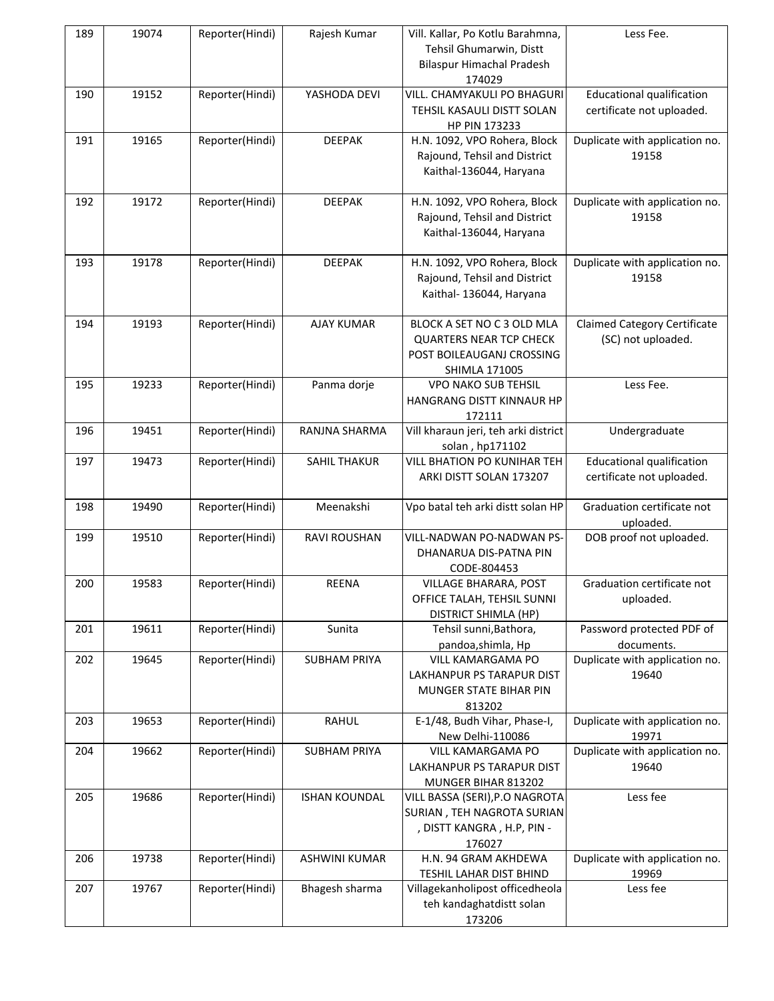| 189 | 19074 | Reporter(Hindi) | Rajesh Kumar         | Vill. Kallar, Po Kotlu Barahmna,<br>Tehsil Ghumarwin, Distt<br>Bilaspur Himachal Pradesh<br>174029                | Less Fee.                                                     |
|-----|-------|-----------------|----------------------|-------------------------------------------------------------------------------------------------------------------|---------------------------------------------------------------|
| 190 | 19152 | Reporter(Hindi) | YASHODA DEVI         | VILL. CHAMYAKULI PO BHAGURI<br>TEHSIL KASAULI DISTT SOLAN<br>HP PIN 173233                                        | <b>Educational qualification</b><br>certificate not uploaded. |
| 191 | 19165 | Reporter(Hindi) | <b>DEEPAK</b>        | H.N. 1092, VPO Rohera, Block<br>Rajound, Tehsil and District<br>Kaithal-136044, Haryana                           | Duplicate with application no.<br>19158                       |
| 192 | 19172 | Reporter(Hindi) | <b>DEEPAK</b>        | H.N. 1092, VPO Rohera, Block<br>Rajound, Tehsil and District<br>Kaithal-136044, Haryana                           | Duplicate with application no.<br>19158                       |
| 193 | 19178 | Reporter(Hindi) | <b>DEEPAK</b>        | H.N. 1092, VPO Rohera, Block<br>Rajound, Tehsil and District<br>Kaithal- 136044, Haryana                          | Duplicate with application no.<br>19158                       |
| 194 | 19193 | Reporter(Hindi) | <b>AJAY KUMAR</b>    | BLOCK A SET NO C 3 OLD MLA<br><b>QUARTERS NEAR TCP CHECK</b><br>POST BOILEAUGANJ CROSSING<br><b>SHIMLA 171005</b> | <b>Claimed Category Certificate</b><br>(SC) not uploaded.     |
| 195 | 19233 | Reporter(Hindi) | Panma dorje          | <b>VPO NAKO SUB TEHSIL</b><br>HANGRANG DISTT KINNAUR HP<br>172111                                                 | Less Fee.                                                     |
| 196 | 19451 | Reporter(Hindi) | RANJNA SHARMA        | Vill kharaun jeri, teh arki district<br>solan, hp171102                                                           | Undergraduate                                                 |
| 197 | 19473 | Reporter(Hindi) | <b>SAHIL THAKUR</b>  | VILL BHATION PO KUNIHAR TEH<br>ARKI DISTT SOLAN 173207                                                            | <b>Educational qualification</b><br>certificate not uploaded. |
| 198 | 19490 | Reporter(Hindi) | Meenakshi            | Vpo batal teh arki distt solan HP                                                                                 | Graduation certificate not<br>uploaded.                       |
| 199 | 19510 | Reporter(Hindi) | RAVI ROUSHAN         | VILL-NADWAN PO-NADWAN PS-<br>DHANARUA DIS-PATNA PIN<br>CODE-804453                                                | DOB proof not uploaded.                                       |
| 200 | 19583 | Reporter(Hindi) | <b>REENA</b>         | VILLAGE BHARARA, POST<br>OFFICE TALAH, TEHSIL SUNNI<br>DISTRICT SHIMLA (HP)                                       | Graduation certificate not<br>uploaded.                       |
| 201 | 19611 | Reporter(Hindi) | Sunita               | Tehsil sunni, Bathora,<br>pandoa, shimla, Hp                                                                      | Password protected PDF of<br>documents.                       |
| 202 | 19645 | Reporter(Hindi) | <b>SUBHAM PRIYA</b>  | VILL KAMARGAMA PO<br>LAKHANPUR PS TARAPUR DIST<br>MUNGER STATE BIHAR PIN<br>813202                                | Duplicate with application no.<br>19640                       |
| 203 | 19653 | Reporter(Hindi) | <b>RAHUL</b>         | E-1/48, Budh Vihar, Phase-I,<br>New Delhi-110086                                                                  | Duplicate with application no.<br>19971                       |
| 204 | 19662 | Reporter(Hindi) | <b>SUBHAM PRIYA</b>  | <b>VILL KAMARGAMA PO</b><br>LAKHANPUR PS TARAPUR DIST<br>MUNGER BIHAR 813202                                      | Duplicate with application no.<br>19640                       |
| 205 | 19686 | Reporter(Hindi) | <b>ISHAN KOUNDAL</b> | VILL BASSA (SERI), P.O NAGROTA<br>SURIAN, TEH NAGROTA SURIAN<br>, DISTT KANGRA, H.P, PIN -<br>176027              | Less fee                                                      |
| 206 | 19738 | Reporter(Hindi) | <b>ASHWINI KUMAR</b> | H.N. 94 GRAM AKHDEWA<br>TESHIL LAHAR DIST BHIND                                                                   | Duplicate with application no.<br>19969                       |
| 207 | 19767 | Reporter(Hindi) | Bhagesh sharma       | Villagekanholipost officedheola<br>teh kandaghatdistt solan<br>173206                                             | Less fee                                                      |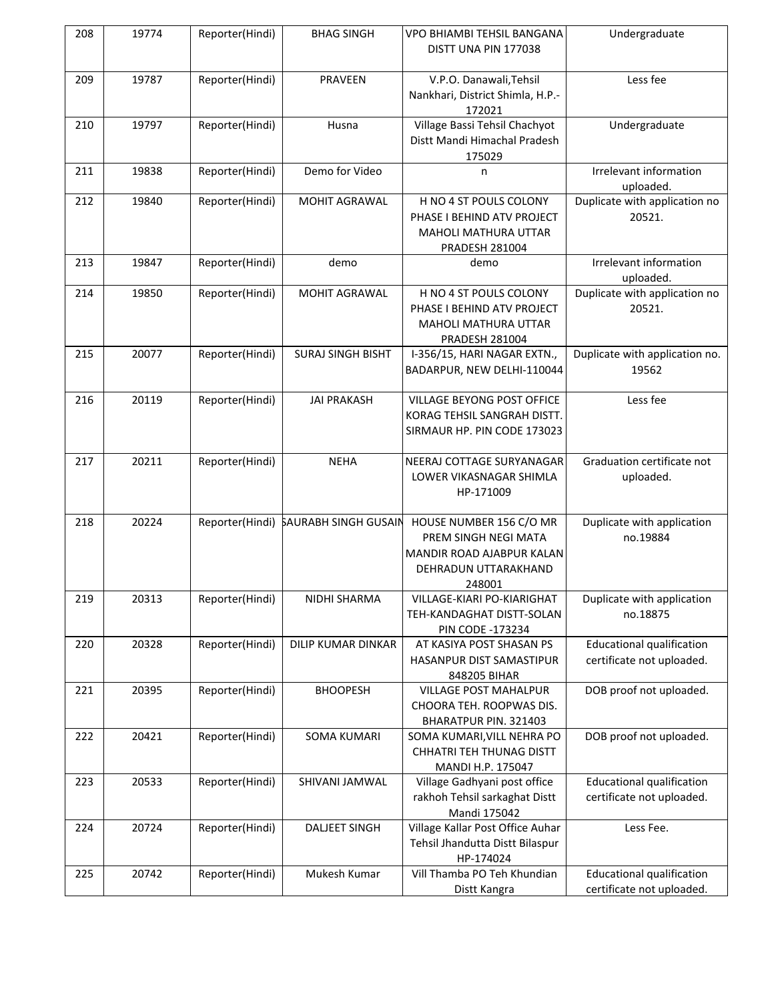| 208 | 19774 | Reporter(Hindi) | <b>BHAG SINGH</b>                    | VPO BHIAMBI TEHSIL BANGANA<br>DISTT UNA PIN 177038                                                             | Undergraduate                                                 |
|-----|-------|-----------------|--------------------------------------|----------------------------------------------------------------------------------------------------------------|---------------------------------------------------------------|
| 209 | 19787 | Reporter(Hindi) | PRAVEEN                              | V.P.O. Danawali, Tehsil<br>Nankhari, District Shimla, H.P.-<br>172021                                          | Less fee                                                      |
| 210 | 19797 | Reporter(Hindi) | Husna                                | Village Bassi Tehsil Chachyot<br>Distt Mandi Himachal Pradesh<br>175029                                        | Undergraduate                                                 |
| 211 | 19838 | Reporter(Hindi) | Demo for Video                       | n                                                                                                              | Irrelevant information<br>uploaded.                           |
| 212 | 19840 | Reporter(Hindi) | MOHIT AGRAWAL                        | H NO 4 ST POULS COLONY<br>PHASE I BEHIND ATV PROJECT<br><b>MAHOLI MATHURA UTTAR</b><br>PRADESH 281004          | Duplicate with application no<br>20521.                       |
| 213 | 19847 | Reporter(Hindi) | demo                                 | demo                                                                                                           | Irrelevant information<br>uploaded.                           |
| 214 | 19850 | Reporter(Hindi) | MOHIT AGRAWAL                        | H NO 4 ST POULS COLONY<br>PHASE I BEHIND ATV PROJECT<br><b>MAHOLI MATHURA UTTAR</b><br>PRADESH 281004          | Duplicate with application no<br>20521.                       |
| 215 | 20077 | Reporter(Hindi) | <b>SURAJ SINGH BISHT</b>             | I-356/15, HARI NAGAR EXTN.,<br>BADARPUR, NEW DELHI-110044                                                      | Duplicate with application no.<br>19562                       |
| 216 | 20119 | Reporter(Hindi) | <b>JAI PRAKASH</b>                   | VILLAGE BEYONG POST OFFICE<br>KORAG TEHSIL SANGRAH DISTT.<br>SIRMAUR HP. PIN CODE 173023                       | Less fee                                                      |
| 217 | 20211 | Reporter(Hindi) | <b>NEHA</b>                          | NEERAJ COTTAGE SURYANAGAR<br>LOWER VIKASNAGAR SHIMLA<br>HP-171009                                              | Graduation certificate not<br>uploaded.                       |
| 218 | 20224 |                 | Reporter(Hindi) SAURABH SINGH GUSAIN | HOUSE NUMBER 156 C/O MR<br>PREM SINGH NEGI MATA<br>MANDIR ROAD AJABPUR KALAN<br>DEHRADUN UTTARAKHAND<br>248001 | Duplicate with application<br>no.19884                        |
| 219 | 20313 | Reporter(Hindi) | NIDHI SHARMA                         | VILLAGE-KIARI PO-KIARIGHAT<br>TEH-KANDAGHAT DISTT-SOLAN<br><b>PIN CODE -173234</b>                             | Duplicate with application<br>no.18875                        |
| 220 | 20328 | Reporter(Hindi) | DILIP KUMAR DINKAR                   | AT KASIYA POST SHASAN PS<br>HASANPUR DIST SAMASTIPUR<br>848205 BIHAR                                           | <b>Educational qualification</b><br>certificate not uploaded. |
| 221 | 20395 | Reporter(Hindi) | <b>BHOOPESH</b>                      | VILLAGE POST MAHALPUR<br>CHOORA TEH. ROOPWAS DIS.<br>BHARATPUR PIN. 321403                                     | DOB proof not uploaded.                                       |
| 222 | 20421 | Reporter(Hindi) | <b>SOMA KUMARI</b>                   | SOMA KUMARI, VILL NEHRA PO<br>CHHATRI TEH THUNAG DISTT<br>MANDI H.P. 175047                                    | DOB proof not uploaded.                                       |
| 223 | 20533 | Reporter(Hindi) | SHIVANI JAMWAL                       | Village Gadhyani post office<br>rakhoh Tehsil sarkaghat Distt<br>Mandi 175042                                  | <b>Educational qualification</b><br>certificate not uploaded. |
| 224 | 20724 | Reporter(Hindi) | <b>DALJEET SINGH</b>                 | Village Kallar Post Office Auhar<br>Tehsil Jhandutta Distt Bilaspur<br>HP-174024                               | Less Fee.                                                     |
| 225 | 20742 | Reporter(Hindi) | Mukesh Kumar                         | Vill Thamba PO Teh Khundian<br>Distt Kangra                                                                    | <b>Educational qualification</b><br>certificate not uploaded. |